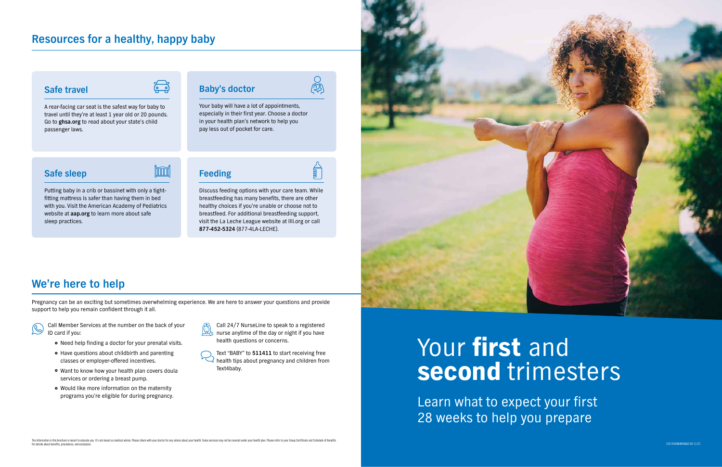Learn what to expect your first 28 weeks to help you prepare



# **Resources for a healthy, happy baby**

<u>(၂၂)</u>

# **We're here to help**

Pregnancy can be an exciting but sometimes overwhelming experience. We are here to answer your questions and provide support to help you remain confident through it all.



#### **Safe travel**

A rear-facing car seat is the safest way for baby to travel until they're at least 1 year old or 20 pounds. Go to **ghsa.org** to read about your state's child passenger laws.

# **Baby's doctor**

Your baby will have a lot of appointments, especially in their first year. Choose a doctor in your health plan's network to help you pay less out of pocket for care.

<u>ලා</u>

**SummL** 

- Need help finding a doctor for your prenatal visits.
- Have questions about childbirth and parenting classes or employer-offered incentives.
- Want to know how your health plan covers doula services or ordering a breast pump.
- Would like more information on the maternity programs you're eligible for during pregnancy.

### **Safe sleep**

Putting baby in a crib or bassinet with only a tightfitting mattress is safer than having them in bed with you. Visit the American Academy of Pediatrics website at **aap.org** to learn more about safe sleep practices.

### **Feeding**

Discuss feeding options with your care team. While breastfeeding has many benefits, there are other healthy choices if you're unable or choose not to breastfeed. For additional breastfeeding support, visit the La Leche League website at llli.org or call **877-452-5324** (877-4LA-LECHE).

Call Member Services at the number on the back of your ID card if you:



Text "BABY" to **511411** to start receiving free  $\leq$  health tips about pregnancy and children from Text4baby.

# Your first and second trimesters